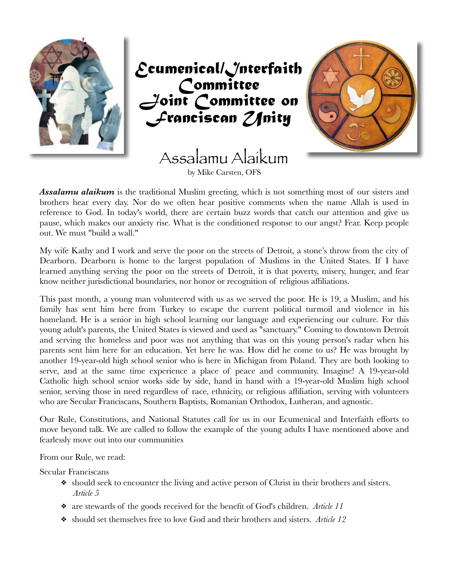

*Ecumenical/Interfaith Committee*  oint Committee on *Franciscan Unity*

> Assalamu Alaikum by Mike Carsten, OFS



*Assalamu alaikum* is the traditional Muslim greeting, which is not something most of our sisters and brothers hear every day. Nor do we often hear positive comments when the name Allah is used in reference to God. In today's world, there are certain buzz words that catch our attention and give us pause, which makes our anxiety rise. What is the conditioned response to our angst? Fear. Keep people out. We must "build a wall."

My wife Kathy and I work and serve the poor on the streets of Detroit, a stone's throw from the city of Dearborn. Dearborn is home to the largest population of Muslims in the United States. If I have learned anything serving the poor on the streets of Detroit, it is that poverty, misery, hunger, and fear know neither jurisdictional boundaries, nor honor or recognition of religious affiliations.

This past month, a young man volunteered with us as we served the poor. He is 19, a Muslim, and his family has sent him here from Turkey to escape the current political turmoil and violence in his homeland. He is a senior in high school learning our language and experiencing our culture. For this young adult's parents, the United States is viewed and used as "sanctuary." Coming to downtown Detroit and serving the homeless and poor was not anything that was on this young person's radar when his parents sent him here for an education. Yet here he was. How did he come to us? He was brought by another 19-year-old high school senior who is here in Michigan from Poland. They are both looking to serve, and at the same time experience a place of peace and community. Imagine! A 19-year-old Catholic high school senior works side by side, hand in hand with a 19-year-old Muslim high school senior, serving those in need regardless of race, ethnicity, or religious affiliation, serving with volunteers who are Secular Franciscans, Southern Baptists, Romanian Orthodox, Lutheran, and agnostic.

Our Rule, Constitutions, and National Statutes call for us in our Ecumenical and Interfaith efforts to move beyond talk. We are called to follow the example of the young adults I have mentioned above and fearlessly move out into our communities

From our Rule, we read:

Secular Franciscans

- ❖ should seek to encounter the living and active person of Christ in their brothers and sisters. *Article 5*
- ❖ are stewards of the goods received for the benefit of God's children. *Article 11*
- ❖ should set themselves free to love God and their brothers and sisters. *Article 12*